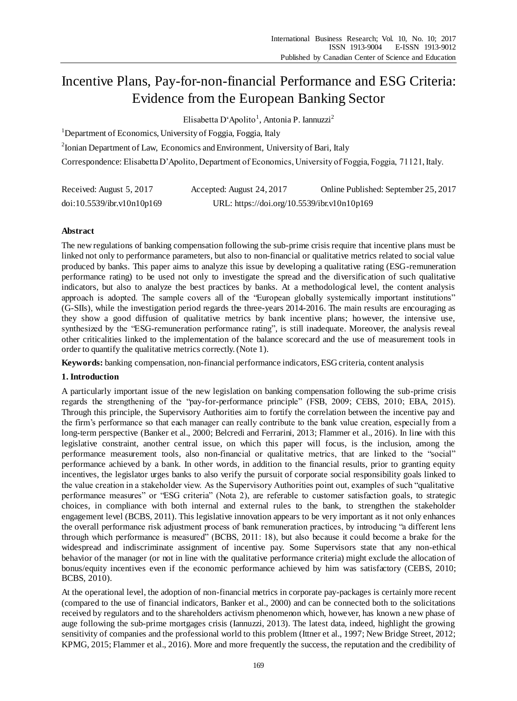# Incentive Plans, Pay-for-non-financial Performance and ESG Criteria: Evidence from the European Banking Sector

Elisabetta D'Apolito<sup>1</sup>, Antonia P. Iannuzzi<sup>2</sup>

<sup>1</sup>Department of Economics, University of Foggia, Foggia, Italy

 $2$ Ionian Department of Law, Economics and Environment, University of Bari, Italy

Correspondence: Elisabetta D'Apolito, Department of Economics, University of Foggia, Foggia, 71121, Italy.

| Received: August 5, 2017   | Accepted: August 24, 2017                   | Online Published: September 25, 2017 |
|----------------------------|---------------------------------------------|--------------------------------------|
| doi:10.5539/ibr.v10n10p169 | URL: https://doi.org/10.5539/ibr.v10n10p169 |                                      |

## **Abstract**

The new regulations of banking compensation following the sub-prime crisis require that incentive plans must be linked not only to performance parameters, but also to non-financial or qualitative metrics related to social value produced by banks. This paper aims to analyze this issue by developing a qualitative rating (ESG-remuneration performance rating) to be used not only to investigate the spread and the diversification of such qualitative indicators, but also to analyze the best practices by banks. At a methodological level, the content analysis approach is adopted. The sample covers all of the "European globally systemically important institutions" (G-SIIs), while the investigation period regards the three-years 2014-2016. The main results are encouraging as they show a good diffusion of qualitative metrics by bank incentive plans; however, the intensive use, synthesized by the "ESG-remuneration performance rating", is still inadequate. Moreover, the analysis reveal other criticalities linked to the implementation of the balance scorecard and the use of measurement tools in order to quantify the qualitative metrics correctly. (Note 1).

**Keywords:** banking compensation, non-financial performance indicators, ESG criteria, content analysis

## **1. Introduction**

A particularly important issue of the new legislation on banking compensation following the sub-prime crisis regards the strengthening of the "pay-for-performance principle" (FSB, 2009; CEBS, 2010; EBA, 2015). Through this principle, the Supervisory Authorities aim to fortify the correlation between the incentive pay and the firm's performance so that each manager can really contribute to the bank value creation, especially from a long-term perspective (Banker et al., 2000; Belcredi and Ferrarini, 2013; Flammer et al., 2016). In line with this legislative constraint, another central issue, on which this paper will focus, is the inclusion, among the performance measurement tools, also non-financial or qualitative metrics, that are linked to the "social" performance achieved by a bank. In other words, in addition to the financial results, prior to granting equity incentives, the legislator urges banks to also verify the pursuit of corporate social responsibility goals linked to the value creation in a stakeholder view. As the Supervisory Authorities point out, examples of such "qualitative performance measures" or "ESG criteria" (Nota 2), are referable to customer satisfaction goals, to strategic choices, in compliance with both internal and external rules to the bank, to strengthen the stakeholder engagement level (BCBS, 2011). This legislative innovation appears to be very important as it not only enhances the overall performance risk adjustment process of bank remuneration practices, by introducing "a different lens through which performance is measured" (BCBS, 2011: 18), but also because it could become a brake for the widespread and indiscriminate assignment of incentive pay. Some Supervisors state that any non-ethical behavior of the manager (or not in line with the qualitative performance criteria) might exclude the allocation of bonus/equity incentives even if the economic performance achieved by him was satisfactory (CEBS, 2010; BCBS, 2010).

At the operational level, the adoption of non-financial metrics in corporate pay-packages is certainly more recent (compared to the use of financial indicators, Banker et al., 2000) and can be connected both to the solicitations received by regulators and to the shareholders activism phenomenon which, however, has known a new phase of auge following the sub-prime mortgages crisis (Iannuzzi, 2013). The latest data, indeed, highlight the growing sensitivity of companies and the professional world to this problem (Ittner et al., 1997; New Bridge Street, 2012; KPMG, 2015; Flammer et al., 2016). More and more frequently the success, the reputation and the credibility of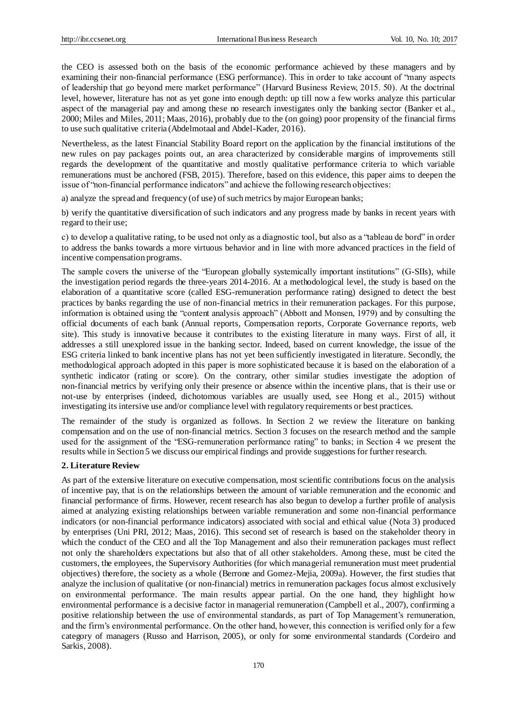the CEO is assessed both on the basis of the economic performance achieved by these managers and by examining their non-financial performance (ESG performance). This in order to take account of "many aspects of leadership that go beyond mere market performance" (Harvard Business Review, 2015. 50). At the doctrinal level, however, literature has not as yet gone into enough depth: up till now a few works analyze this particular aspect of the managerial pay and among these no research investigates only the banking sector (Banker et al., 2000; Miles and Miles, 2011; Maas, 2016), probably due to the (on going) poor propensity of the financial firms to use such qualitative criteria (Abdelmotaal and Abdel-Kader, 2016).

Nevertheless, as the latest Financial Stability Board report on the application by the financial institutions of the new rules on pay packages points out, an area characterized by considerable margins of improvements still regards the development of the quantitative and mostly qualitative performance criteria to which variable remunerations must be anchored (FSB, 2015). Therefore, based on this evidence, this paper aims to deepen the issue of "non-financial performance indicators" and achieve the following research objectives:

a) analyze the spread and frequency (of use) of such metrics by major European banks;

b) verify the quantitative diversification of such indicators and any progress made by banks in recent years with regard to their use;

c) to develop a qualitative rating, to be used not only as a diagnostic tool, but also as a "tableau de bord" in order to address the banks towards a more virtuous behavior and in line with more advanced practices in the field of incentive compensation programs.

The sample covers the universe of the "European globally systemically important institutions" (G-SIIs), while the investigation period regards the three-years 2014-2016. At a methodological level, the study is based on the elaboration of a quantitative score (called ESG-remuneration performance rating) designed to detect the best practices by banks regarding the use of non-financial metrics in their remuneration packages. For this purpose, information is obtained using the "content analysis approach" (Abbott and Monsen, 1979) and by consulting the official documents of each bank (Annual reports, Compensation reports, Corporate Governance reports, web site). This study is innovative because it contributes to the existing literature in many ways. First of all, it addresses a still unexplored issue in the banking sector. Indeed, based on current knowledge, the issue of the ESG criteria linked to bank incentive plans has not yet been sufficiently investigated in literature. Secondly, the methodological approach adopted in this paper is more sophisticated because it is based on the elaboration of a synthetic indicator (rating or score). On the contrary, other similar studies investigate the adoption of non-financial metrics by verifying only their presence or absence within the incentive plans, that is their use or not-use by enterprises (indeed, dichotomous variables are usually used, see Hong et al., 2015) without investigating its intersive use and/or compliance level with regulatory requirements or best practices.

The remainder of the study is organized as follows. In Section 2 we review the literature on banking compensation and on the use of non-financial metrics. Section 3 focuses on the research method and the sample used for the assignment of the "ESG-remuneration performance rating" to banks; in Section 4 we present the results while in Section 5 we discuss our empirical findings and provide suggestions for further research.

## **2. Literature Review**

As part of the extensive literature on executive compensation, most scientific contributions focus on the analysis of incentive pay, that is on the relationships between the amount of variable remuneration and the economic and financial performance of firms. However, recent research has also begun to develop a further profile of analysis aimed at analyzing existing relationships between variable remuneration and some non-financial performance indicators (or non-financial performance indicators) associated with social and ethical value (Nota 3) produced by enterprises (Uni PRI, 2012; Maas, 2016). This second set of research is based on the stakeholder theory in which the conduct of the CEO and all the Top Management and also their remuneration packages must reflect not only the shareholders expectations but also that of all other stakeholders. Among these, must be cited the customers, the employees, the Supervisory Authorities (for which managerial remuneration must meet prudential objectives) therefore, the society as a whole (Berrone and Gomez-Mejia, 2009a). However, the first studies that analyze the inclusion of qualitative (or non-financial) metrics in remuneration packages focus almost exclusively on environmental performance. The main results appear partial. On the one hand, they highlight how environmental performance is a decisive factor in managerial remuneration (Campbell et al., 2007), confirming a positive relationship between the use of environmental standards, as part of Top Management's remuneration, and the firm's environmental performance. On the other hand, however, this connection is verified only for a few category of managers (Russo and Harrison, 2005), or only for some environmental standards (Cordeiro and Sarkis, 2008).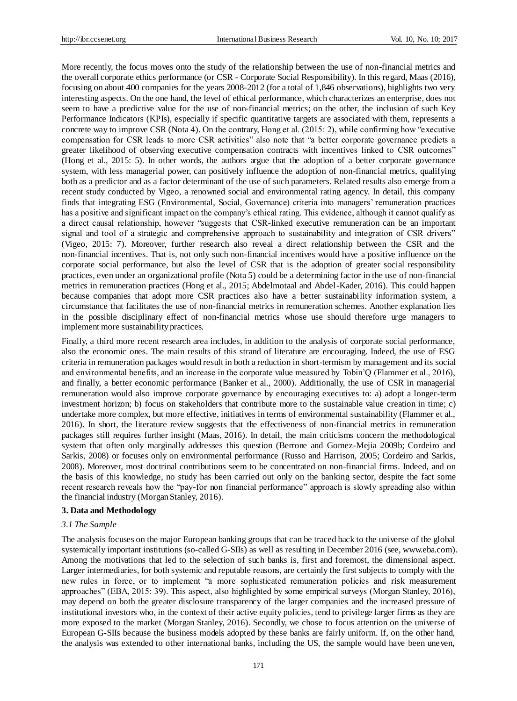More recently, the focus moves onto the study of the relationship between the use of non-financial metrics and the overall corporate ethics performance (or CSR - Corporate Social Responsibility). In this regard, Maas (2016), focusing on about 400 companies for the years 2008-2012 (for a total of 1,846 observations), highlights two very interesting aspects. On the one hand, the level of ethical performance, which characterizes an enterprise, does not seem to have a predictive value for the use of non-financial metrics; on the other, the inclusion of such Key Performance Indicators (KPIs), especially if specific quantitative targets are associated with them, represents a concrete way to improve CSR (Nota 4). On the contrary, Hong et al. (2015: 2), while confirming how "executive compensation for CSR leads to more CSR activities" also note that "a better corporate governance predicts a greater likelihood of observing executive compensation contracts with incentives linked to CSR outcomes" (Hong et al., 2015: 5). In other words, the authors argue that the adoption of a better corporate governance system, with less managerial power, can positively influence the adoption of non-financial metrics, qualifying both as a predictor and as a factor determinant of the use of such parameters. Related results also emerge from a recent study conducted by Vigeo, a renowned social and environmental rating agency. In detail, this company finds that integrating ESG (Environmental, Social, Governance) criteria into managers' remuneration practices has a positive and significant impact on the company's ethical rating. This evidence, although it cannot qualify as a direct causal relationship, however "suggests that CSR-linked executive remuneration can be an important signal and tool of a strategic and comprehensive approach to sustainability and integration of CSR drivers" (Vigeo, 2015: 7). Moreover, further research also reveal a direct relationship between the CSR and the non-financial incentives. That is, not only such non-financial incentives would have a positive influence on the corporate social performance, but also the level of CSR that is the adoption of greater social responsibility practices, even under an organizational profile (Nota 5) could be a determining factor in the use of non-financial metrics in remuneration practices (Hong et al., 2015; Abdelmotaal and Abdel-Kader, 2016). This could happen because companies that adopt more CSR practices also have a better sustainability information system, a circumstance that facilitates the use of non-financial metrics in remuneration schemes. Another explanation lies in the possible disciplinary effect of non-financial metrics whose use should therefore urge managers to implement more sustainability practices.

Finally, a third more recent research area includes, in addition to the analysis of corporate social performance, also the economic ones. The main results of this strand of literature are encouraging. Indeed, the use of ESG criteria in remuneration packages would result in both a reduction in short-termism by management and its social and environmental benefits, and an increase in the corporate value measured by Tobin'Q (Flammer et al., 2016), and finally, a better economic performance (Banker et al., 2000). Additionally, the use of CSR in managerial remuneration would also improve corporate governance by encouraging executives to: a) adopt a longer-term investment horizon; b) focus on stakeholders that contribute more to the sustainable value creation in time; c) undertake more complex, but more effective, initiatives in terms of environmental sustainability (Flammer et al., 2016). In short, the literature review suggests that the effectiveness of non-financial metrics in remuneration packages still requires further insight (Maas, 2016). In detail, the main criticisms concern the methodological system that often only marginally addresses this question (Berrone and Gomez-Mejia 2009b; Cordeiro and Sarkis, 2008) or focuses only on environmental performance (Russo and Harrison, 2005; Cordeiro and Sarkis, 2008). Moreover, most doctrinal contributions seem to be concentrated on non-financial firms. Indeed, and on the basis of this knowledge, no study has been carried out only on the banking sector, despite the fact some recent research reveals how the "pay-for non financial performance" approach is slowly spreading also within the financial industry (Morgan Stanley, 2016).

#### **3. Data and Methodology**

#### *3.1 The Sample*

The analysis focuses on the major European banking groups that can be traced back to the universe of the global systemically important institutions (so-called G-SIIs) as well as resulting in December 2016 (see, www.eba.com). Among the motivations that led to the selection of such banks is, first and foremost, the dimensional aspect. Larger intermediaries, for both systemic and reputable reasons, are certainly the first subjects to comply with the new rules in force, or to implement "a more sophisticated remuneration policies and risk measurement approaches" (EBA, 2015: 39). This aspect, also highlighted by some empirical surveys (Morgan Stanley, 2016), may depend on both the greater disclosure transparency of the larger companies and the increased pressure of institutional investors who, in the context of their active equity policies, tend to privilege larger firms as they are more exposed to the market (Morgan Stanley, 2016). Secondly, we chose to focus attention on the universe of European G-SIIs because the business models adopted by these banks are fairly uniform. If, on the other hand, the analysis was extended to other international banks, including the US, the sample would have been uneven,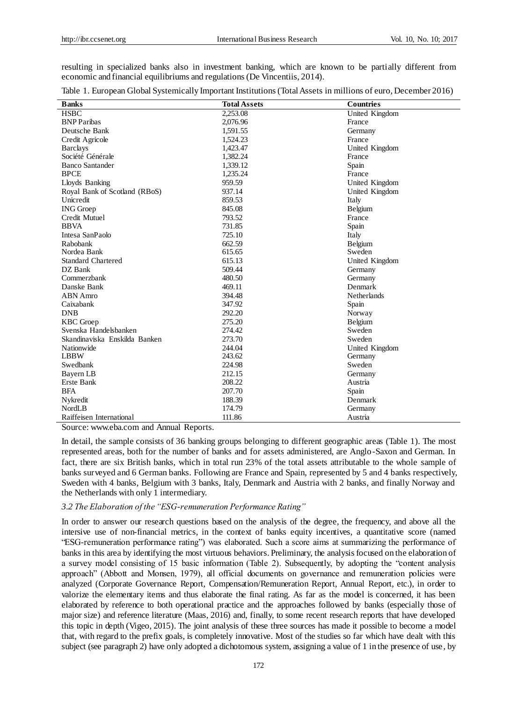resulting in specialized banks also in investment banking, which are known to be partially different from economic and financial equilibriums and regulations (De Vincentiis, 2014).

|  |  |  | Table 1. European Global Systemically Important Institutions (Total Assets in millions of euro, December 2016) |  |  |
|--|--|--|----------------------------------------------------------------------------------------------------------------|--|--|
|  |  |  |                                                                                                                |  |  |

| <b>Banks</b>                  | <b>Total Assets</b> | <b>Countries</b> |
|-------------------------------|---------------------|------------------|
| <b>HSBC</b>                   | 2,253.08            | United Kingdom   |
| <b>BNP</b> Paribas            | 2,076.96            | France           |
| Deutsche Bank                 | 1,591.55            | Germany          |
| Credit Agricole               | 1,524.23            | France           |
| <b>Barclays</b>               | 1,423.47            | United Kingdom   |
| Société Générale              | 1,382.24            | France           |
| <b>Banco Santander</b>        | 1,339.12            | Spain            |
| <b>BPCE</b>                   | 1,235.24            | France           |
| Lloyds Banking                | 959.59              | United Kingdom   |
| Royal Bank of Scotland (RBoS) | 937.14              | United Kingdom   |
| Unicredit                     | 859.53              | Italy            |
| <b>ING</b> Groep              | 845.08              | Belgium          |
| Credit Mutuel                 | 793.52              | France           |
| <b>BBVA</b>                   | 731.85              | Spain            |
| Intesa SanPaolo               | 725.10              | Italy            |
| Rabobank                      | 662.59              | Belgium          |
| Nordea Bank                   | 615.65              | Sweden           |
| <b>Standard Chartered</b>     | 615.13              | United Kingdom   |
| DZ Bank                       | 509.44              | Germany          |
| Commerzbank                   | 480.50              | Germany          |
| Danske Bank                   | 469.11              | Denmark          |
| <b>ABN</b> Amro               | 394.48              | Netherlands      |
| Caixabank                     | 347.92              | Spain            |
| <b>DNB</b>                    | 292.20              | Norway           |
| <b>KBC</b> Groep              | 275.20              | Belgium          |
| Svenska Handelsbanken         | 274.42              | Sweden           |
| Skandinaviska Enskilda Banken | 273.70              | Sweden           |
| Nationwide                    | 244.04              | United Kingdom   |
| <b>LBBW</b>                   | 243.62              | Germany          |
| Swedbank                      | 224.98              | Sweden           |
| Bayern LB                     | 212.15              | Germany          |
| Erste Bank                    | 208.22              | Austria          |
| <b>BFA</b>                    | 207.70              | Spain            |
| Nykredit                      | 188.39              | Denmark          |
| NordLB                        | 174.79              | Germany          |
| Raiffeisen International      | 111.86              | Austria          |

Source: www.eba.com and Annual Reports.

In detail, the sample consists of 36 banking groups belonging to different geographic areas (Table 1). The most represented areas, both for the number of banks and for assets administered, are Anglo-Saxon and German. In fact, there are six British banks, which in total run 23% of the total assets attributable to the whole sample of banks surveyed and 6 German banks. Following are France and Spain, represented by 5 and 4 banks respectively, Sweden with 4 banks, Belgium with 3 banks, Italy, Denmark and Austria with 2 banks, and finally Norway and the Netherlands with only 1 intermediary.

## *3.2 The Elaboration of the "ESG-remuneration Performance Rating"*

In order to answer our research questions based on the analysis of the degree, the frequency, and above all the intersive use of non-financial metrics, in the context of banks equity incentives, a quantitative score (named "ESG-remuneration performance rating") was elaborated. Such a score aims at summarizing the performance of banks in this area by identifying the most virtuous behaviors. Preliminary, the analysis focused on the elaboration of a survey model consisting of 15 basic information (Table 2). Subsequently, by adopting the "content analysis approach" (Abbott and Monsen, 1979), all official documents on governance and remuneration policies were analyzed (Corporate Governance Report, Compensation/Remuneration Report, Annual Report, etc.), in order to valorize the elementary items and thus elaborate the final rating. As far as the model is concerned, it has been elaborated by reference to both operational practice and the approaches followed by banks (especially those of major size) and reference literature (Maas, 2016) and, finally, to some recent research reports that have developed this topic in depth (Vigeo, 2015). The joint analysis of these three sources has made it possible to become a model that, with regard to the prefix goals, is completely innovative. Most of the studies so far which have dealt with this subject (see paragraph 2) have only adopted a dichotomous system, assigning a value of 1 in the presence of use, by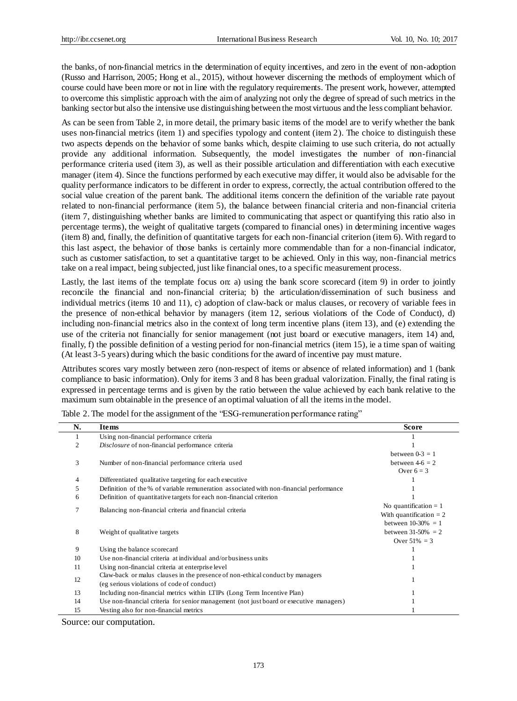the banks, of non-financial metrics in the determination of equity incentives, and zero in the event of non-adoption (Russo and Harrison, 2005; Hong et al., 2015), without however discerning the methods of employment which of course could have been more or not in line with the regulatory requirements. The present work, however, attempted to overcome this simplistic approach with the aim of analyzing not only the degree of spread of such metrics in the banking sector but also the intensive use distinguishing between the most virtuous and the less compliant behavior.

As can be seen from Table 2, in more detail, the primary basic items of the model are to verify whether the bank uses non-financial metrics (item 1) and specifies typology and content (item 2). The choice to distinguish these two aspects depends on the behavior of some banks which, despite claiming to use such criteria, do not actually provide any additional information. Subsequently, the model investigates the number of non-financial performance criteria used (item 3), as well as their possible articulation and differentiation with each executive manager (item 4). Since the functions performed by each executive may differ, it would also be advisable for the quality performance indicators to be different in order to express, correctly, the actual contribution offered to the social value creation of the parent bank. The additional items concern the definition of the variable rate payout related to non-financial performance (item 5), the balance between financial criteria and non-financial criteria (item 7, distinguishing whether banks are limited to communicating that aspect or quantifying this ratio also in percentage terms), the weight of qualitative targets (compared to financial ones) in determining incentive wages (item 8) and, finally, the definition of quantitative targets for each non-financial criterion (item 6). With regard to this last aspect, the behavior of those banks is certainly more commendable than for a non-financial indicator, such as customer satisfaction, to set a quantitative target to be achieved. Only in this way, non-financial metrics take on a real impact, being subjected, just like financial ones, to a specific measurement process.

Lastly, the last items of the template focus on: a) using the bank score scorecard (item 9) in order to jointly reconcile the financial and non-financial criteria; b) the articulation/dissemination of such business and individual metrics (items 10 and 11), c) adoption of claw-back or malus clauses, or recovery of variable fees in the presence of non-ethical behavior by managers (item 12, serious violations of the Code of Conduct), d) including non-financial metrics also in the context of long term incentive plans (item 13), and (e) extending the use of the criteria not financially for senior management (not just board or executive managers, item 14) and, finally, f) the possible definition of a vesting period for non-financial metrics (item 15), ie a time span of waiting (At least 3-5 years) during which the basic conditions for the award of incentive pay must mature.

Attributes scores vary mostly between zero (non-respect of items or absence of related information) and 1 (bank compliance to basic information). Only for items 3 and 8 has been gradual valorization. Finally, the final rating is expressed in percentage terms and is given by the ratio between the value achieved by each bank relative to the maximum sum obtainable in the presence of an optimal valuation of all the items in the model.

| N. | <b>Items</b>                                                                            | <b>Score</b>              |
|----|-----------------------------------------------------------------------------------------|---------------------------|
|    | Using non-financial performance criteria                                                |                           |
| 2  | Disclosure of non-financial performance criteria                                        |                           |
|    |                                                                                         | between $0-3 = 1$         |
| 3  | Number of non-financial performance criteria used                                       | between $4-6 = 2$         |
|    |                                                                                         | Over $6 = 3$              |
| 4  | Differentiated qualitative targeting for each executive                                 |                           |
| 5  | Definition of the % of variable remuneration associated with non-financial performance  |                           |
| 6  | Definition of quantitative targets for each non-financial criterion                     |                           |
| 7  | Balancing non-financial criteria and financial criteria                                 | No quantification $= 1$   |
|    |                                                                                         | With quantification $= 2$ |
|    |                                                                                         | between $10-30% = 1$      |
| 8  | Weight of qualitative targets                                                           | between $31-50% = 2$      |
|    |                                                                                         | Over $51\% = 3$           |
| 9  | Using the balance scorecard                                                             |                           |
| 10 | Use non-financial criteria at individual and/orbusiness units                           |                           |
| 11 | Using non-financial criteria at enterprise level                                        |                           |
| 12 | Claw-back or malus clauses in the presence of non-ethical conduct by managers           |                           |
|    | (eg serious violations of code of conduct)                                              |                           |
| 13 | Including non-financial metrics within LTIPs (Long Term Incentive Plan)                 |                           |
| 14 | Use non-financial criteria for senior management (not just board or executive managers) |                           |
| 15 | Vesting also for non-financial metrics                                                  |                           |
|    |                                                                                         |                           |

Table 2. The model for the assignment of the "ESG-remuneration performance rating"

Source: our computation.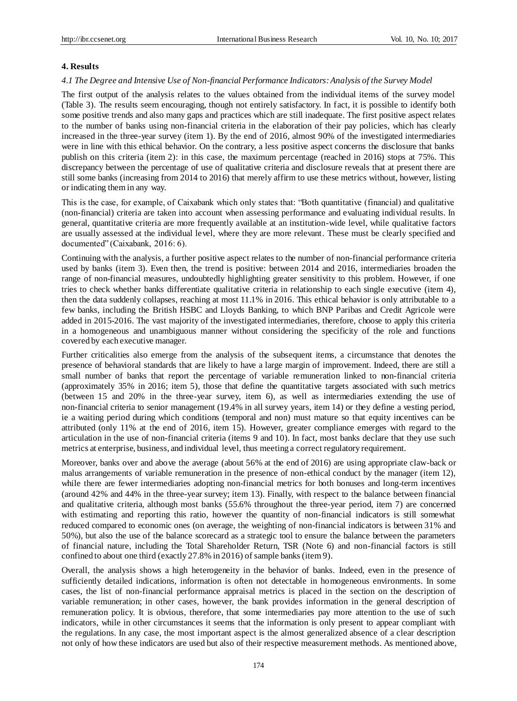#### **4. Results**

#### *4.1 The Degree and Intensive Use of Non-financial Performance Indicators: Analysis of the Survey Model*

The first output of the analysis relates to the values obtained from the individual items of the survey model (Table 3). The results seem encouraging, though not entirely satisfactory. In fact, it is possible to identify both some positive trends and also many gaps and practices which are still inadequate. The first positive aspect relates to the number of banks using non-financial criteria in the elaboration of their pay policies, which has clearly increased in the three-year survey (item 1). By the end of 2016, almost 90% of the investigated intermediaries were in line with this ethical behavior. On the contrary, a less positive aspect concerns the disclosure that banks publish on this criteria (item 2): in this case, the maximum percentage (reached in 2016) stops at 75%. This discrepancy between the percentage of use of qualitative criteria and disclosure reveals that at present there are still some banks (increasing from 2014 to 2016) that merely affirm to use these metrics without, however, listing or indicating them in any way.

This is the case, for example, of Caixabank which only states that: "Both quantitative (financial) and qualitative (non-financial) criteria are taken into account when assessing performance and evaluating individual results. In general, quantitative criteria are more frequently available at an institution-wide level, while qualitative factors are usually assessed at the individual level, where they are more relevant. These must be clearly specified and documented" (Caixabank, 2016: 6).

Continuing with the analysis, a further positive aspect relates to the number of non-financial performance criteria used by banks (item 3). Even then, the trend is positive: between 2014 and 2016, intermediaries broaden the range of non-financial measures, undoubtedly highlighting greater sensitivity to this problem. However, if one tries to check whether banks differentiate qualitative criteria in relationship to each single executive (item 4), then the data suddenly collapses, reaching at most 11.1% in 2016. This ethical behavior is only attributable to a few banks, including the British HSBC and Lloyds Banking, to which BNP Paribas and Credit Agricole were added in 2015-2016. The vast majority of the investigated intermediaries, therefore, choose to apply this criteria in a homogeneous and unambiguous manner without considering the specificity of the role and functions covered by each executive manager.

Further criticalities also emerge from the analysis of the subsequent items, a circumstance that denotes the presence of behavioral standards that are likely to have a large margin of improvement. Indeed, there are still a small number of banks that report the percentage of variable remuneration linked to non-financial criteria (approximately 35% in 2016; item 5), those that define the quantitative targets associated with such metrics (between 15 and 20% in the three-year survey, item 6), as well as intermediaries extending the use of non-financial criteria to senior management (19.4% in all survey years, item 14) or they define a vesting period, ie a waiting period during which conditions (temporal and non) must mature so that equity incentives can be attributed (only 11% at the end of 2016, item 15). However, greater compliance emerges with regard to the articulation in the use of non-financial criteria (items 9 and 10). In fact, most banks declare that they use such metrics at enterprise, business, and individual level, thus meeting a correct regulatory requirement.

Moreover, banks over and above the average (about 56% at the end of 2016) are using appropriate claw-back or malus arrangements of variable remuneration in the presence of non-ethical conduct by the manager (item 12), while there are fewer intermediaries adopting non-financial metrics for both bonuses and long-term incentives (around 42% and 44% in the three-year survey; item 13). Finally, with respect to the balance between financial and qualitative criteria, although most banks (55.6% throughout the three-year period, item 7) are concerned with estimating and reporting this ratio, however the quantity of non-financial indicators is still somewhat reduced compared to economic ones (on average, the weighting of non-financial indicators is between 31% and 50%), but also the use of the balance scorecard as a strategic tool to ensure the balance between the parameters of financial nature, including the Total Shareholder Return, TSR (Note 6) and non-financial factors is still confined to about one third (exactly 27.8% in 2016) of sample banks (item 9).

Overall, the analysis shows a high heterogeneity in the behavior of banks. Indeed, even in the presence of sufficiently detailed indications, information is often not detectable in homogeneous environments. In some cases, the list of non-financial performance appraisal metrics is placed in the section on the description of variable remuneration; in other cases, however, the bank provides information in the general description of remuneration policy. It is obvious, therefore, that some intermediaries pay more attention to the use of such indicators, while in other circumstances it seems that the information is only present to appear compliant with the regulations. In any case, the most important aspect is the almost generalized absence of a clear description not only of how these indicators are used but also of their respective measurement methods. As mentioned above,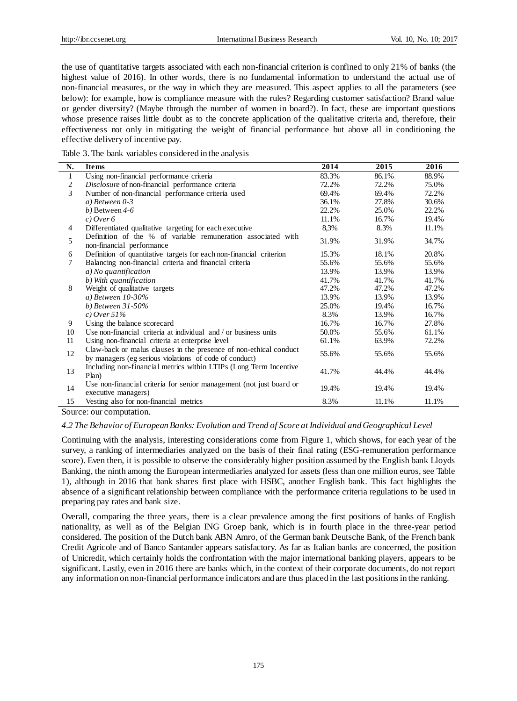the use of quantitative targets associated with each non-financial criterion is confined to only 21% of banks (the highest value of 2016). In other words, there is no fundamental information to understand the actual use of non-financial measures, or the way in which they are measured. This aspect applies to all the parameters (see below): for example, how is compliance measure with the rules? Regarding customer satisfaction? Brand value or gender diversity? (Maybe through the number of women in board?). In fact, these are important questions whose presence raises little doubt as to the concrete application of the qualitative criteria and, therefore, their effectiveness not only in mitigating the weight of financial performance but above all in conditioning the effective delivery of incentive pay.

| Table 3. The bank variables considered in the analysis |  |
|--------------------------------------------------------|--|
|--------------------------------------------------------|--|

| N.             | <b>Items</b>                                                                                                                | 2014  | 2015  | 2016  |
|----------------|-----------------------------------------------------------------------------------------------------------------------------|-------|-------|-------|
| $\mathbf{1}$   | Using non-financial performance criteria                                                                                    | 83.3% | 86.1% | 88.9% |
| 2              | Disclosure of non-financial performance criteria                                                                            | 72.2% | 72.2% | 75.0% |
| 3              | Number of non-financial performance criteria used                                                                           | 69.4% | 69.4% | 72.2% |
|                | $a)$ Between 0-3                                                                                                            | 36.1% | 27.8% | 30.6% |
|                | $b)$ Between 4-6                                                                                                            | 22.2% | 25.0% | 22.2% |
|                | c) Over $6$                                                                                                                 | 11.1% | 16.7% | 19.4% |
| $\overline{4}$ | Differentiated qualitative targeting for each executive                                                                     | 8.3%  | 8.3%  | 11.1% |
| 5              | Definition of the % of variable remuneration associated with<br>non-financial performance                                   | 31.9% | 31.9% | 34.7% |
| 6              | Definition of quantitative targets for each non-financial criterion                                                         | 15.3% | 18.1% | 20.8% |
| 7              | Balancing non-financial criteria and financial criteria                                                                     | 55.6% | 55.6% | 55.6% |
|                | a) No quantification                                                                                                        | 13.9% | 13.9% | 13.9% |
|                | b) With quantification                                                                                                      | 41.7% | 41.7% | 41.7% |
| 8              | Weight of qualitative targets                                                                                               | 47.2% | 47.2% | 47.2% |
|                | $a)$ Between 10-30%                                                                                                         | 13.9% | 13.9% | 13.9% |
|                | b) Between $31-50%$                                                                                                         | 25.0% | 19.4% | 16.7% |
|                | c) Over $51\%$                                                                                                              | 8.3%  | 13.9% | 16.7% |
| 9              | Using the balance scorecard                                                                                                 | 16.7% | 16.7% | 27.8% |
| 10             | Use non-financial criteria at individual and / or business units                                                            | 50.0% | 55.6% | 61.1% |
| 11             | Using non-financial criteria at enterprise level                                                                            | 61.1% | 63.9% | 72.2% |
| 12             | Claw-back or malus clauses in the presence of non-ethical conduct<br>by managers (eg serious violations of code of conduct) | 55.6% | 55.6% | 55.6% |
| 13             | Including non-financial metrics within LTIPs (Long Term Incentive<br>Plan)                                                  | 41.7% | 44.4% | 44.4% |
| 14             | Use non-financial criteria for senior management (not just board or<br>executive managers)                                  | 19.4% | 19.4% | 19.4% |
| 15             | Vesting also for non-financial metrics                                                                                      | 8.3%  | 11.1% | 11.1% |

Source: our computation.

## *4.2 The Behavior of European Banks: Evolution and Trend of Score at Individual and Geographical Level*

Continuing with the analysis, interesting considerations come from Figure 1, which shows, for each year of the survey, a ranking of intermediaries analyzed on the basis of their final rating (ESG-remuneration performance score). Even then, it is possible to observe the considerably higher position assumed by the English bank Lloyds Banking, the ninth among the European intermediaries analyzed for assets (less than one million euros, see Table 1), although in 2016 that bank shares first place with HSBC, another English bank. This fact highlights the absence of a significant relationship between compliance with the performance criteria regulations to be used in preparing pay rates and bank size.

Overall, comparing the three years, there is a clear prevalence among the first positions of banks of English nationality, as well as of the Belgian ING Groep bank, which is in fourth place in the three-year period considered. The position of the Dutch bank ABN Amro, of the German bank Deutsche Bank, of the French bank Credit Agricole and of Banco Santander appears satisfactory. As far as Italian banks are concerned, the position of Unicredit, which certainly holds the confrontation with the major international banking players, appears to be significant. Lastly, even in 2016 there are banks which, in the context of their corporate documents, do not report any information on non-financial performance indicators and are thus placed in the last positions in the ranking.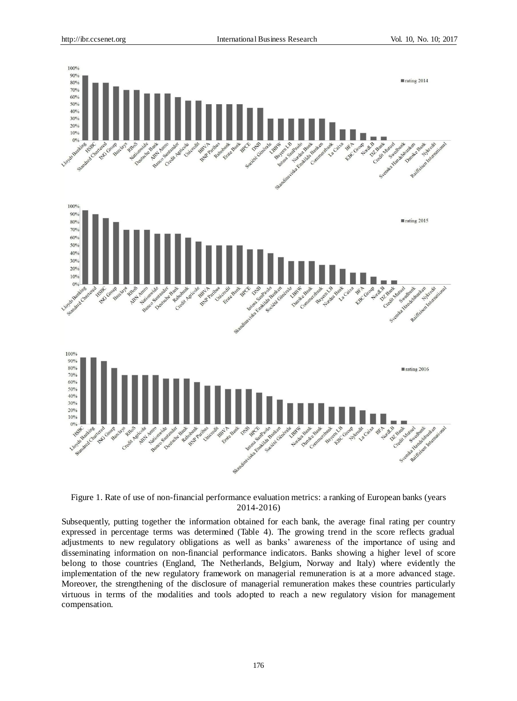

Figure 1. Rate of use of non-financial performance evaluation metrics: a ranking of European banks (years 2014-2016)

Subsequently, putting together the information obtained for each bank, the average final rating per country expressed in percentage terms was determined (Table 4). The growing trend in the score reflects gradual adjustments to new regulatory obligations as well as banks' awareness of the importance of using and disseminating information on non-financial performance indicators. Banks showing a higher level of score belong to those countries (England, The Netherlands, Belgium, Norway and Italy) where evidently the implementation of the new regulatory framework on managerial remuneration is at a more advanced stage. Moreover, the strengthening of the disclosure of managerial remuneration makes these countries particularly virtuous in terms of the modalities and tools adopted to reach a new regulatory vision for management compensation.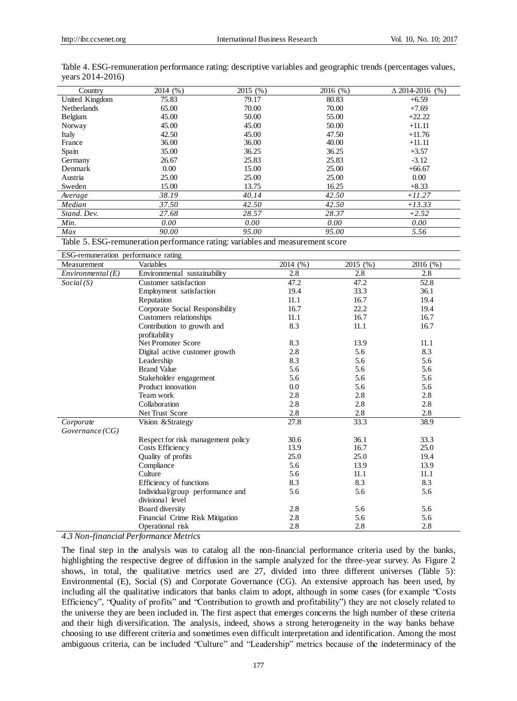| Country        | 2014 (%) | 2015(%) | 2016(%) | $\Delta$ 2014-2016 (%) |
|----------------|----------|---------|---------|------------------------|
| United Kingdom | 75.83    | 79.17   | 80.83   | $+6.59$                |
| Netherlands    | 65.00    | 70.00   | 70.00   | $+7.69$                |
| <b>Belgium</b> | 45.00    | 50.00   | 55.00   | $+22.22$               |
| Norway         | 45.00    | 45.00   | 50.00   | $+11.11$               |
| Italy          | 42.50    | 45.00   | 47.50   | $+11.76$               |
| France         | 36.00    | 36.00   | 40.00   | $+11.11$               |
| Spain          | 35.00    | 36.25   | 36.25   | $+3.57$                |
| Germany        | 26.67    | 25.83   | 25.83   | $-3.12$                |
| Denmark        | 0.00     | 15.00   | 25.00   | $+66.67$               |
| Austria        | 25.00    | 25.00   | 25.00   | 0.00                   |
| Sweden         | 15.00    | 13.75   | 16.25   | $+8.33$                |
| Average        | 38.19    | 40.14   | 42.50   | $+11.27$               |
| Median         | 37.50    | 42.50   | 42.50   | $+13.33$               |
| Stand. Dev.    | 27.68    | 28.57   | 28.37   | $+2.52$                |
| Min.           | 0.00     | 0.00    | 0.00    | 0.00                   |
| Max            | 90.00    | 95.00   | 95.00   | 5.56                   |

| Table 4. ESG-remuneration performance rating: descriptive variables and geographic trends (percentages values, |  |  |  |
|----------------------------------------------------------------------------------------------------------------|--|--|--|
| vears $2014 - 2016$                                                                                            |  |  |  |

Table 5. ESG-remuneration performance rating: variables and measurement score

| ESG-remuneration performance rating |                                    |          |          |          |  |  |  |
|-------------------------------------|------------------------------------|----------|----------|----------|--|--|--|
| Measurement                         | Variables                          | 2014 (%) | 2015 (%) | 2016 (%) |  |  |  |
| Environmental(E)                    | Environmental sustainability       | 2.8      | 2.8      | 2.8      |  |  |  |
| Social(S)                           | Customer satisfaction              | 47.2     | 47.2     | 52.8     |  |  |  |
|                                     | Employment satisfaction            | 19.4     | 33.3     | 36.1     |  |  |  |
|                                     | Reputation                         | 11.1     | 16.7     | 19.4     |  |  |  |
|                                     | Corporate Social Responsibility    | 16.7     | 22.2     | 19.4     |  |  |  |
|                                     | Customers relationships            | 11.1     | 16.7     | 16.7     |  |  |  |
|                                     | Contribution to growth and         | 8.3      | 11.1     | 16.7     |  |  |  |
|                                     | profitability                      |          |          |          |  |  |  |
|                                     | <b>Net Promoter Score</b>          | 8.3      | 13.9     | 11.1     |  |  |  |
|                                     | Digital active customer growth     | 2.8      | 5.6      | 8.3      |  |  |  |
|                                     | Leadership                         | 8.3      | 5.6      | 5.6      |  |  |  |
|                                     | <b>Brand Value</b>                 | 5.6      | 5.6      | 5.6      |  |  |  |
|                                     | Stakeholder engagement             | 5.6      | 5.6      | 5.6      |  |  |  |
|                                     | Product innovation                 | 0.0      | 5.6      | 5.6      |  |  |  |
|                                     | Team work                          | 2.8      | 2.8      | 2.8      |  |  |  |
|                                     | Collaboration                      | 2.8      | 2.8      | 2.8      |  |  |  |
|                                     | Net Trust Score                    | 2.8      | 2.8      | 2.8      |  |  |  |
| Corporate                           | Vision & Strategy                  | 27.8     | 33.3     | 38.9     |  |  |  |
| Governance (CG)                     |                                    |          |          |          |  |  |  |
|                                     | Respect for risk management policy | 30.6     | 36.1     | 33.3     |  |  |  |
|                                     | Costs Efficiency                   | 13.9     | 16.7     | 25.0     |  |  |  |
|                                     | Quality of profits                 | 25.0     | 25.0     | 19.4     |  |  |  |
|                                     | Compliance                         | 5.6      | 13.9     | 13.9     |  |  |  |
|                                     | Culture                            | 5.6      | 11.1     | 11.1     |  |  |  |
|                                     | Efficiency of functions            | 8.3      | 8.3      | 8.3      |  |  |  |
|                                     | Individual/group performance and   | 5.6      | 5.6      | 5.6      |  |  |  |
|                                     | divisional level                   |          |          |          |  |  |  |
|                                     | Board diversity                    | 2.8      | 5.6      | 5.6      |  |  |  |
|                                     | Financial Crime Risk Mitigation    | 2.8      | 5.6      | 5.6      |  |  |  |
|                                     | Operational risk                   | 2.8      | 2.8      | 2.8      |  |  |  |

*4.3 Non-financial Performance Metrics*

The final step in the analysis was to catalog all the non-financial performance criteria used by the banks, highlighting the respective degree of diffusion in the sample analyzed for the three-year survey. As Figure 2 shows, in total, the qualitative metrics used are 27, divided into three different universes (Table 5): Environmental (E), Social (S) and Corporate Governance (CG). An extensive approach has been used, by including all the qualitative indicators that banks claim to adopt, although in some cases (for example "Costs Efficiency", "Quality of profits" and "Contribution to growth and profitability") they are not closely related to the universe they are been included in. The first aspect that emerges concerns the high number of these criteria and their high diversification. The analysis, indeed, shows a strong heterogeneity in the way banks behave choosing to use different criteria and sometimes even difficult interpretation and identification. Among the most ambiguous criteria, can be included "Culture" and "Leadership" metrics because of the indeterminacy of the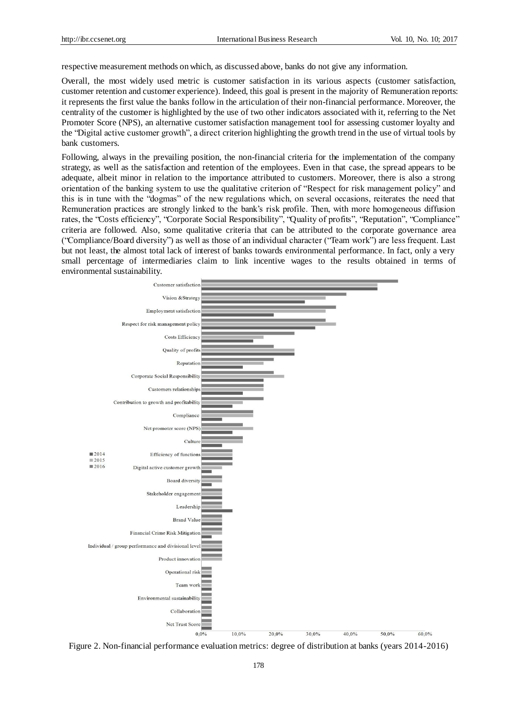respective measurement methods on which, as discussed above, banks do not give any information.

Overall, the most widely used metric is customer satisfaction in its various aspects (customer satisfaction, customer retention and customer experience). Indeed, this goal is present in the majority of Remuneration reports: it represents the first value the banks follow in the articulation of their non-financial performance. Moreover, the centrality of the customer is highlighted by the use of two other indicators associated with it, referring to the Net Promoter Score (NPS), an alternative customer satisfaction management tool for assessing customer loyalty and the "Digital active customer growth", a direct criterion highlighting the growth trend in the use of virtual tools by bank customers.

Following, always in the prevailing position, the non-financial criteria for the implementation of the company strategy, as well as the satisfaction and retention of the employees. Even in that case, the spread appears to be adequate, albeit minor in relation to the importance attributed to customers. Moreover, there is also a strong orientation of the banking system to use the qualitative criterion of "Respect for risk management policy" and this is in tune with the "dogmas" of the new regulations which, on several occasions, reiterates the need that Remuneration practices are strongly linked to the bank's risk profile. Then, with more homogeneous diffusion rates, the "Costs efficiency", "Corporate Social Responsibility", "Quality of profits", "Reputation", "Compliance" criteria are followed. Also, some qualitative criteria that can be attributed to the corporate governance area ("Compliance/Board diversity") as well as those of an individual character ("Team work") are less frequent. Last but not least, the almost total lack of interest of banks towards environmental performance. In fact, only a very small percentage of intermediaries claim to link incentive wages to the results obtained in terms of environmental sustainability.



Figure 2. Non-financial performance evaluation metrics: degree of distribution at banks (years 2014-2016)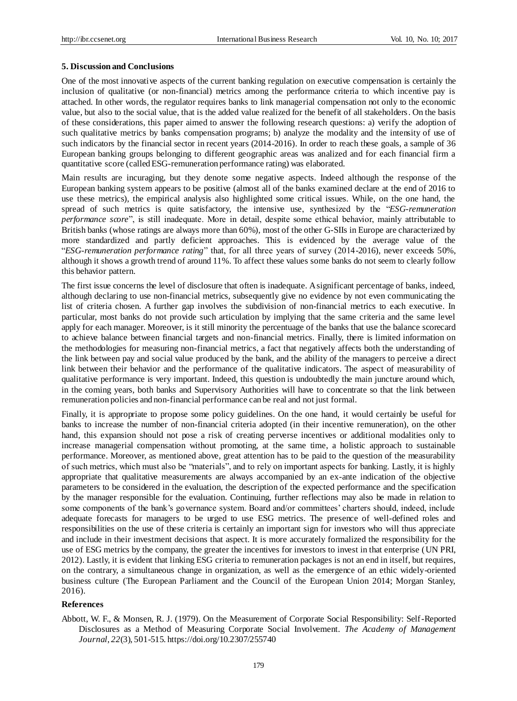#### **5. Discussion and Conclusions**

One of the most innovative aspects of the current banking regulation on executive compensation is certainly the inclusion of qualitative (or non-financial) metrics among the performance criteria to which incentive pay is attached. In other words, the regulator requires banks to link managerial compensation not only to the economic value, but also to the social value, that is the added value realized for the benefit of all stakeholders. On the basis of these considerations, this paper aimed to answer the following research questions: a) verify the adoption of such qualitative metrics by banks compensation programs; b) analyze the modality and the intensity of use of such indicators by the financial sector in recent years (2014-2016). In order to reach these goals, a sample of 36 European banking groups belonging to different geographic areas was analized and for each financial firm a quantitative score (called ESG-remuneration performance rating) was elaborated.

Main results are incuraging, but they denote some negative aspects. Indeed although the response of the European banking system appears to be positive (almost all of the banks examined declare at the end of 2016 to use these metrics), the empirical analysis also highlighted some critical issues. While, on the one hand, the spread of such metrics is quite satisfactory, the intensive use, synthesized by the "*ESG-remuneration performance score*", is still inadequate. More in detail, despite some ethical behavior, mainly attributable to British banks (whose ratings are always more than 60%), most of the other G-SIIs in Europe are characterized by more standardized and partly deficient approaches. This is evidenced by the average value of the "*ESG-remuneration performance rating*" that, for all three years of survey (2014-2016), never exceeds 50%, although it shows a growth trend of around 11%. To affect these values some banks do not seem to clearly follow this behavior pattern.

The first issue concerns the level of disclosure that often is inadequate. A significant percentage of banks, indeed, although declaring to use non-financial metrics, subsequently give no evidence by not even communicating the list of criteria chosen. A further gap involves the subdivision of non-financial metrics to each executive. In particular, most banks do not provide such articulation by implying that the same criteria and the same level apply for each manager. Moreover, is it still minority the percentuage of the banks that use the balance scorecard to achieve balance between financial targets and non-financial metrics. Finally, there is limited information on the methodologies for measuring non-financial metrics, a fact that negatively affects both the understanding of the link between pay and social value produced by the bank, and the ability of the managers to perceive a direct link between their behavior and the performance of the qualitative indicators. The aspect of measurability of qualitative performance is very important. Indeed, this question is undoubtedly the main juncture around which, in the coming years, both banks and Supervisory Authorities will have to concentrate so that the link between remuneration policies and non-financial performance can be real and not just formal.

Finally, it is appropriate to propose some policy guidelines. On the one hand, it would certainly be useful for banks to increase the number of non-financial criteria adopted (in their incentive remuneration), on the other hand, this expansion should not pose a risk of creating perverse incentives or additional modalities only to increase managerial compensation without promoting, at the same time, a holistic approach to sustainable performance. Moreover, as mentioned above, great attention has to be paid to the question of the measurability of such metrics, which must also be "materials", and to rely on important aspects for banking. Lastly, it is highly appropriate that qualitative measurements are always accompanied by an ex-ante indication of the objective parameters to be considered in the evaluation, the description of the expected performance and the specification by the manager responsible for the evaluation. Continuing, further reflections may also be made in relation to some components of the bank's governance system. Board and/or committees' charters should, indeed, include adequate forecasts for managers to be urged to use ESG metrics. The presence of well-defined roles and responsibilities on the use of these criteria is certainly an important sign for investors who will thus appreciate and include in their investment decisions that aspect. It is more accurately formalized the responsibility for the use of ESG metrics by the company, the greater the incentives for investors to invest in that enterprise (UN PRI, 2012). Lastly, it is evident that linking ESG criteria to remuneration packages is not an end in itself, but requires, on the contrary, a simultaneous change in organization, as well as the emergence of an ethic widely-oriented business culture (The European Parliament and the Council of the European Union 2014; Morgan Stanley, 2016).

## **References**

Abbott, W. F., & Monsen, R. J. (1979). On the Measurement of Corporate Social Responsibility: Self-Reported Disclosures as a Method of Measuring Corporate Social Involvement. *The Academy of Management Journal*, *22*(3), 501-515. https://doi.org/10.2307/255740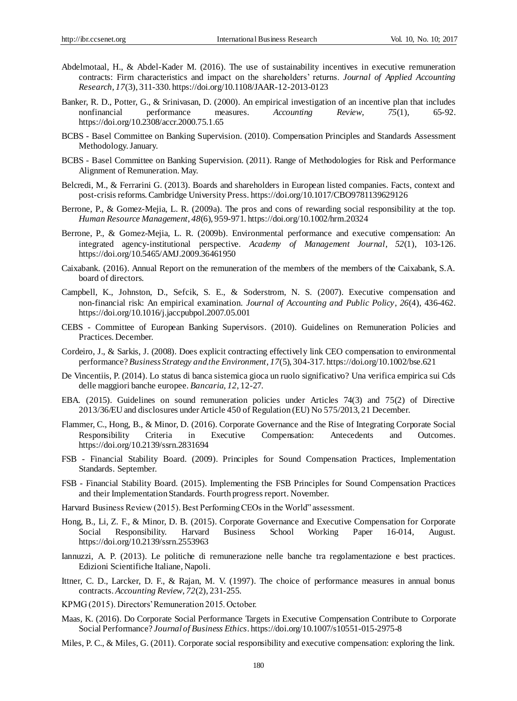- [Abdelmotaal,](http://www.emeraldinsight.com/author/Abdelmotaal%2C+Heba) H., & Abdel-Kader M. (2016). The use of sustainability incentives in executive remuneration contracts: Firm characteristics and impact on the shareholders' returns. *Journal of Applied Accounting Research*, *17*(3), 311-330. https://doi.org/10.1108/JAAR-12-2013-0123
- Banker, R. D., Potter, G., & Srinivasan, D. (2000). An empirical investigation of an incentive plan that includes nonfinancial performance measures. *Accounting Review*, *75*(1), 65-92. https://doi.org/10.2308/accr.2000.75.1.65
- BCBS Basel Committee on Banking Supervision. (2010). Compensation Principles and Standards Assessment Methodology. January.
- BCBS Basel Committee on Banking Supervision. (2011). Range of Methodologies for Risk and Performance Alignment of Remuneration. May.
- Belcredi, M., & Ferrarini G. (2013). Boards and shareholders in European listed companies. Facts, context and post-crisis reforms. Cambridge University Press. https://doi.org/10.1017/CBO9781139629126
- Berrone, P., & Gomez-Mejia, L. R. (2009a). The pros and cons of rewarding social responsibility at the top. *Human Resource Management*, *48*(6), 959-971. https://doi.org/10.1002/hrm.20324
- Berrone, P., & Gomez-Mejia, L. R. (2009b). Environmental performance and executive compensation: An integrated agency-institutional perspective. *Academy of Management Journal*, *52*(1), 103-126. https://doi.org/10.5465/AMJ.2009.36461950
- Caixabank. (2016). Annual Report on the remuneration of the members of the members of the Caixabank, S.A. board of directors.
- Campbell, K., Johnston, D., Sefcik, S. E., & Soderstrom, N. S. (2007). Executive compensation and non-financial risk: An empirical examination. *Journal of Accounting and Public Policy*, *26*(4), 436-462. https://doi.org/10.1016/j.jaccpubpol.2007.05.001
- CEBS Committee of European Banking Supervisors. (2010). Guidelines on Remuneration Policies and Practices. December.
- Cordeiro, J., & Sarkis, J. (2008). Does explicit contracting effectively link CEO compensation to environmental performance? *Business Strategy and the Environment*, *17*(5), 304-317. https://doi.org/10.1002/bse.621
- De Vincentiis, P. (2014). Lo status di banca sistemica gioca un ruolo significativo? Una verifica empirica sui Cds delle maggiori banche europee. *Bancaria*, *12*, 12-27.
- EBA. (2015). Guidelines on sound remuneration policies under Articles 74(3) and 75(2) of Directive 2013/36/EU and disclosures under Article 450 of Regulation (EU) No 575/2013, 21 December.
- Flammer, C., Hong, B., & Minor, D. (2016). Corporate Governance and the Rise of Integrating Corporate Social Responsibility Criteria in Executive Compensation: Antecedents and Outcomes. https://doi.org/10.2139/ssrn.2831694
- FSB Financial Stability Board. (2009). Principles for Sound Compensation Practices, Implementation Standards. September.
- FSB Financial Stability Board. (2015). Implementing the FSB Principles for Sound Compensation Practices and their Implementation Standards. Fourth progress report*.* November.
- Harvard Business Review (2015). Best Performing CEOs in the World" assessment.
- Hong, B., Li, Z. F., & Minor, D. B. (2015). Corporate Governance and Executive Compensation for Corporate Social Responsibility. Harvard Business School Working Paper 16-014, August. https://doi.org/10.2139/ssrn.2553963
- Iannuzzi, A. P. (2013). Le politiche di remunerazione nelle banche tra regolamentazione e best practices. Edizioni Scientifiche Italiane, Napoli.
- Ittner, C. D., Larcker, D. F., & Rajan, M. V. (1997). The choice of performance measures in annual bonus contracts. *Accounting Review*, *72*(2), 231-255.
- KPMG (2015). Directors' Remuneration 2015. October.
- Maas, K. (2016). Do Corporate Social Performance Targets in Executive Compensation Contribute to Corporate Social Performance? *Journal of Business Ethics*. https://doi.org/10.1007/s10551-015-2975-8
- Miles, P. C., & Miles, G. (2011). Corporate social responsibility and executive compensation: exploring the link.